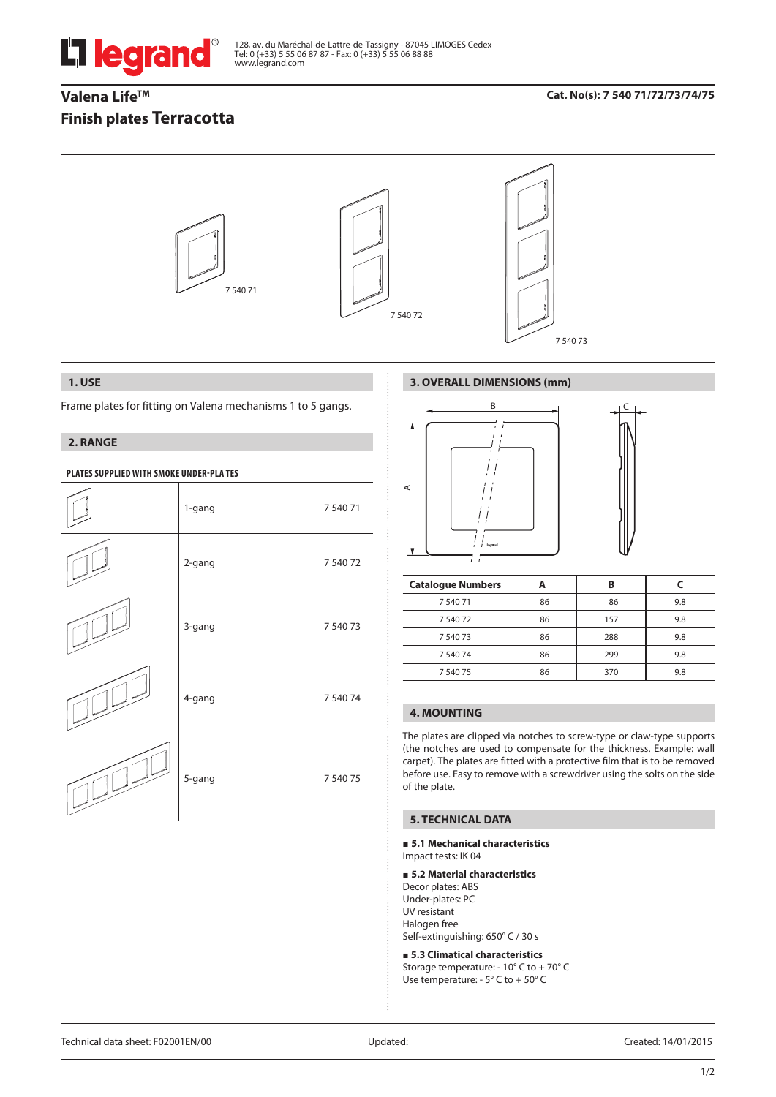

128, av. du Maréchal-de-Lattre-de-Tassigny - 87045 LIMOGES Cedex Tel: 0 (+33) 5 55 06 87 87 - Fax: 0 (+33) 5 55 06 88 88 www.legrand.com

# Valena Life<sup>™</sup> **Finish plates Terracotta**

## **Cat. No(s): 7 540 71/72/73/74/75**



### **1. USE**

Frame plates for fitting on Valena mechanisms 1 to 5 gangs.

## **2. RANGE**

| PLATES SUPPLIED WITH SMOKE UNDER-PLA TES |        |          |  |
|------------------------------------------|--------|----------|--|
|                                          | 1-gang | 7 540 71 |  |
|                                          | 2-gang | 7 540 72 |  |
|                                          | 3-gang | 7 540 73 |  |
|                                          | 4-gang | 7 540 74 |  |
|                                          | 5-gang | 7 540 75 |  |

## **3. OVERALL DIMENSIONS (mm)**



| <b>Catalogue Numbers</b> |    | в   |     |
|--------------------------|----|-----|-----|
| 754071                   | 86 | 86  | 9.8 |
| 7 540 72                 | 86 | 157 | 9.8 |
| 7 540 73                 | 86 | 288 | 9.8 |
| 7 540 74                 | 86 | 299 | 9.8 |
| 7 540 75                 | 86 | 370 | 9.8 |

## **4. MOUNTING**

The plates are clipped via notches to screw-type or claw-type supports (the notches are used to compensate for the thickness. Example: wall carpet). The plates are fitted with a protective film that is to be removed before use. Easy to remove with a screwdriver using the solts on the side of the plate.

## **5. TECHNICAL DATA**

#### **5.1 Mechanical characteristics** Impact tests: IK 04

### **5.2 Material characteristics**

Decor plates: ABS Under-plates: PC UV resistant Halogen free Self-extinguishing: 650° C / 30 s

 **5.3 Climatical characteristics** Storage temperature: - 10° C to + 70° C Use temperature: - 5° C to + 50° C

Technical data sheet: F02001EN/00 Updated: Created: 14/01/2015